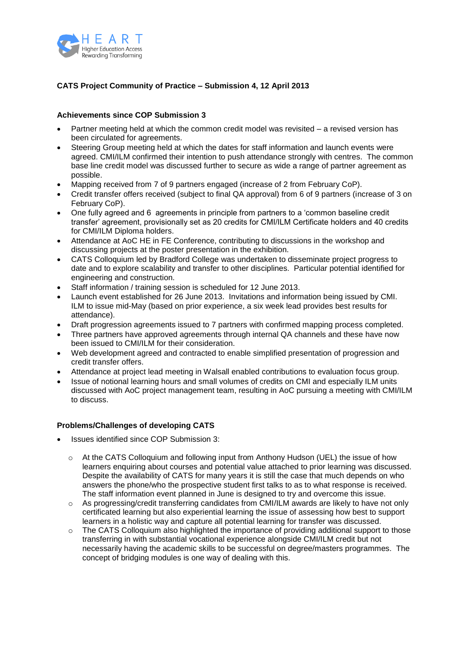

# **CATS Project Community of Practice – Submission 4, 12 April 2013**

## **Achievements since COP Submission 3**

- Partner meeting held at which the common credit model was revisited a revised version has been circulated for agreements.
- Steering Group meeting held at which the dates for staff information and launch events were agreed. CMI/ILM confirmed their intention to push attendance strongly with centres. The common base line credit model was discussed further to secure as wide a range of partner agreement as possible.
- Mapping received from 7 of 9 partners engaged (increase of 2 from February CoP).
- Credit transfer offers received (subject to final QA approval) from 6 of 9 partners (increase of 3 on February CoP).
- One fully agreed and 6 agreements in principle from partners to a 'common baseline credit transfer' agreement, provisionally set as 20 credits for CMI/ILM Certificate holders and 40 credits for CMI/ILM Diploma holders.
- Attendance at AoC HE in FE Conference, contributing to discussions in the workshop and discussing projects at the poster presentation in the exhibition.
- CATS Colloquium led by Bradford College was undertaken to disseminate project progress to date and to explore scalability and transfer to other disciplines. Particular potential identified for engineering and construction.
- Staff information / training session is scheduled for 12 June 2013.
- Launch event established for 26 June 2013. Invitations and information being issued by CMI. ILM to issue mid-May (based on prior experience, a six week lead provides best results for attendance).
- Draft progression agreements issued to 7 partners with confirmed mapping process completed.
- Three partners have approved agreements through internal QA channels and these have now been issued to CMI/ILM for their consideration.
- Web development agreed and contracted to enable simplified presentation of progression and credit transfer offers.
- Attendance at project lead meeting in Walsall enabled contributions to evaluation focus group.
- Issue of notional learning hours and small volumes of credits on CMI and especially ILM units discussed with AoC project management team, resulting in AoC pursuing a meeting with CMI/ILM to discuss.

## **Problems/Challenges of developing CATS**

- Issues identified since COP Submission 3:
	- $\circ$  At the CATS Colloquium and following input from Anthony Hudson (UEL) the issue of how learners enquiring about courses and potential value attached to prior learning was discussed. Despite the availability of CATS for many years it is still the case that much depends on who answers the phone/who the prospective student first talks to as to what response is received. The staff information event planned in June is designed to try and overcome this issue.
	- As progressing/credit transferring candidates from CMI/ILM awards are likely to have not only certificated learning but also experiential learning the issue of assessing how best to support learners in a holistic way and capture all potential learning for transfer was discussed.
	- $\circ$  The CATS Colloquium also highlighted the importance of providing additional support to those transferring in with substantial vocational experience alongside CMI/ILM credit but not necessarily having the academic skills to be successful on degree/masters programmes. The concept of bridging modules is one way of dealing with this.